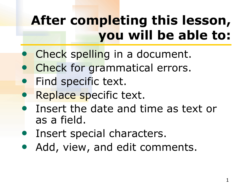# **After completing this lesson, you will be able to:**

- Check spelling in a document.
- Check for grammatical errors.
- Find specific text.
- Replace specific text.
- Insert the date and time as text or as a field.
- Insert special characters.
- Add, view, and edit comments.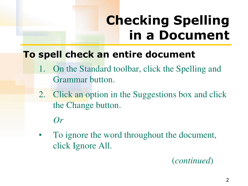# **Checking Spelling in a Document**

### **To spell check an entire document**

- 1. On the Standard toolbar, click the Spelling and Grammar button.
- 2. Click an option in the Suggestions box and click the Change button.

#### *Or*

• To ignore the word throughout the document, click Ignore All.

#### (*continued*)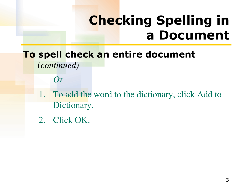### **Checking Spelling in a Document**

#### **To spell check an entire document**  (*continued)*

*Or*

- 1. To add the word to the dictionary, click Add to Dictionary.
- 2. Click OK.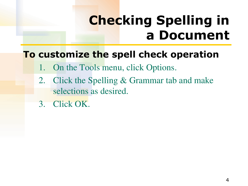### **Checking Spelling in a Document**

### **To customize the spell check operation**

- 1. On the Tools menu, click Options.
- 2. Click the Spelling & Grammar tab and make selections as desired.
- 3. Click OK.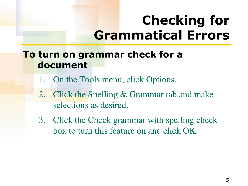### **Checking for Grammatical Errors**

### **To turn on grammar check for a document**

- 1. On the Tools menu, click Options.
- 2. Click the Spelling & Grammar tab and make selections as desired.
- 3. Click the Check grammar with spelling check box to turn this feature on and click OK.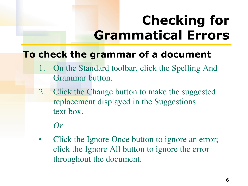# **Checking for Grammatical Errors**

### **To check the grammar of a document**

- 1. On the Standard toolbar, click the Spelling And Grammar button.
- 2. Click the Change button to make the suggested replacement displayed in the Suggestions text box.

#### *Or*

Click the Ignore Once button to ignore an error; click the Ignore All button to ignore the error throughout the document.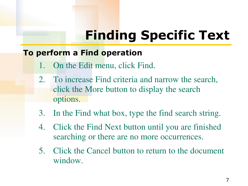# **Finding Specific Text**

#### **To perform a Find operation**

- 1. On the Edit menu, click Find.
- 2. To increase Find criteria and narrow the search, click the More button to display the search options.
- 3. In the Find what box, type the find search string.
- 4. Click the Find Next button until you are finished searching or there are no more occurrences.
- 5. Click the Cancel button to return to the document window.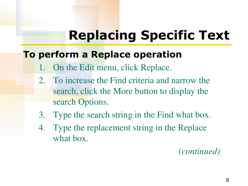# **Replacing Specific Text**

#### **To perform a Replace operation**

- On the Edit menu, click Replace.
- 2. To increase the Find criteria and narrow the search, click the More button to display the search Options.
- 3. Type the search string in the Find what box.
- 4. Type the replacement string in the Replace what box.

*(continued)*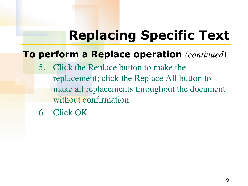# **Replacing Specific Text**

#### **To perform a Replace operation** *(continued)*

- 5. Click the Replace button to make the replacement; click the Replace All button to make all replacements throughout the document without confirmation.
- 6. Click OK.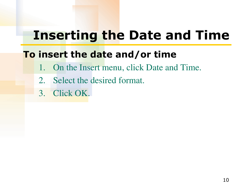### **Inserting the Date and Time**

### **To insert the date and/or time**

- 1. On the Insert menu, click Date and Time.
- 2. Select the desired format.
- 3. Click OK.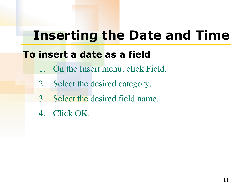### **Inserting the Date and Time**

### **To insert a date as a field**

- 1. On the Insert menu, click Field.
- 2. Select the desired category.
- 3. Select the desired field name.
- 4. Click OK.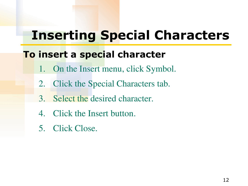### **Inserting Special Characters**

### **To insert a special character**

- 1. On the Insert menu, click Symbol.
- 2. Click the Special Characters tab.
- 3. Select the desired character.
- 4. Click the Insert button.
- 5. Click Close.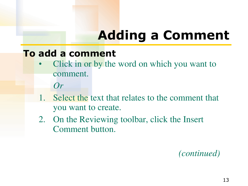# **Adding a Comment**

#### **To add a comment**

- Click in or by the word on which you want to comment.
	- *Or*
- Select the text that relates to the comment that you want to create.
- 2. On the Reviewing toolbar, click the Insert Comment button.

*(continued)*